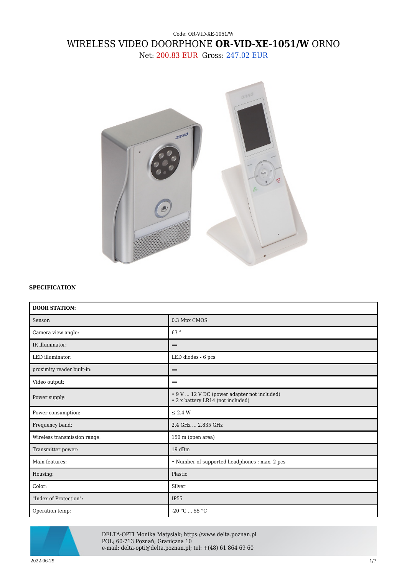## Code: OR-VID-XE-1051/W WIRELESS VIDEO DOORPHONE **OR-VID-XE-1051/W** ORNO Net: 200.83 EUR Gross: 247.02 EUR



## **SPECIFICATION**

| <b>DOOR STATION:</b>         |                                                                                  |
|------------------------------|----------------------------------------------------------------------------------|
| Sensor:                      | 0.3 Mpx CMOS                                                                     |
| Camera view angle:           | 63°                                                                              |
| IR illuminator:              | -                                                                                |
| LED illuminator:             | LED diodes - 6 pcs                                                               |
| proximity reader built-in:   |                                                                                  |
| Video output:                |                                                                                  |
| Power supply:                | • 9 V  12 V DC (power adapter not included)<br>• 2 x battery LR14 (not included) |
| Power consumption:           | $\leq$ 2.4 W                                                                     |
| Frequency band:              | 2.4 GHz  2.835 GHz                                                               |
| Wireless transmission range: | 150 m (open area)                                                                |
| Transmitter power:           | 19 dBm                                                                           |
| Main features:               | • Number of supported headphones : max. 2 pcs                                    |
| Housing:                     | Plastic                                                                          |
| Color:                       | Silver                                                                           |
| "Index of Protection":       | <b>IP55</b>                                                                      |
| Operation temp:              | $-20 °C  55 °C$                                                                  |



DELTA-OPTI Monika Matysiak; https://www.delta.poznan.pl POL; 60-713 Poznań; Graniczna 10 e-mail: delta-opti@delta.poznan.pl; tel: +(48) 61 864 69 60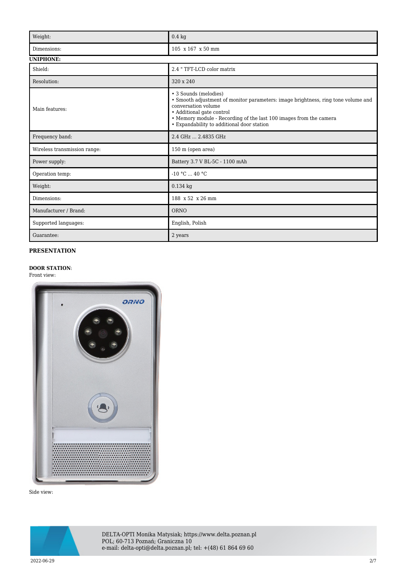| Weight:                      | $0.4\ \mathrm{kg}$                                                                                                                                                                                                                                                                 |  |
|------------------------------|------------------------------------------------------------------------------------------------------------------------------------------------------------------------------------------------------------------------------------------------------------------------------------|--|
| Dimensions:                  | 105 x 167 x 50 mm                                                                                                                                                                                                                                                                  |  |
| <b>UNIPHONE:</b>             |                                                                                                                                                                                                                                                                                    |  |
| Shield:                      | 2.4 "TFT-LCD color matrix                                                                                                                                                                                                                                                          |  |
| Resolution:                  | 320 x 240                                                                                                                                                                                                                                                                          |  |
| Main features:               | • 3 Sounds (melodies)<br>• Smooth adjustment of monitor parameters: image brightness, ring tone volume and<br>conversation volume<br>• Additional gate control<br>• Memory module - Recording of the last 100 images from the camera<br>• Expandability to additional door station |  |
| Frequency band:              | 2.4 GHz  2.4835 GHz                                                                                                                                                                                                                                                                |  |
| Wireless transmission range: | 150 m (open area)                                                                                                                                                                                                                                                                  |  |
| Power supply:                | Battery 3.7 V BL-5C - 1100 mAh                                                                                                                                                                                                                                                     |  |
| Operation temp:              | $-10 °C$ 40 °C                                                                                                                                                                                                                                                                     |  |
| Weight:                      | $0.134$ kg                                                                                                                                                                                                                                                                         |  |
| Dimensions:                  | 188 x 52 x 26 mm                                                                                                                                                                                                                                                                   |  |
| Manufacturer / Brand:        | <b>ORNO</b>                                                                                                                                                                                                                                                                        |  |
| Supported languages:         | English, Polish                                                                                                                                                                                                                                                                    |  |
| Guarantee:                   | 2 years                                                                                                                                                                                                                                                                            |  |

## **PRESENTATION**

## **DOOR STATION**:

Front view:



Side view:



DELTA-OPTI Monika Matysiak; https://www.delta.poznan.pl POL; 60-713 Poznań; Graniczna 10 e-mail: delta-opti@delta.poznan.pl; tel: +(48) 61 864 69 60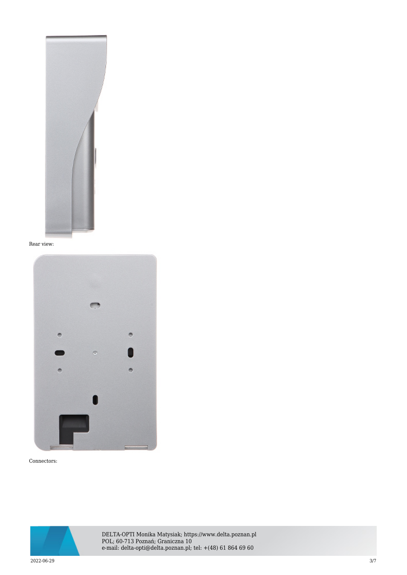

Rear view:



Connectors:



DELTA-OPTI Monika Matysiak; https://www.delta.poznan.pl POL; 60-713 Poznań; Graniczna 10 e-mail: delta-opti@delta.poznan.pl; tel: +(48) 61 864 69 60

2022-06-29 3/7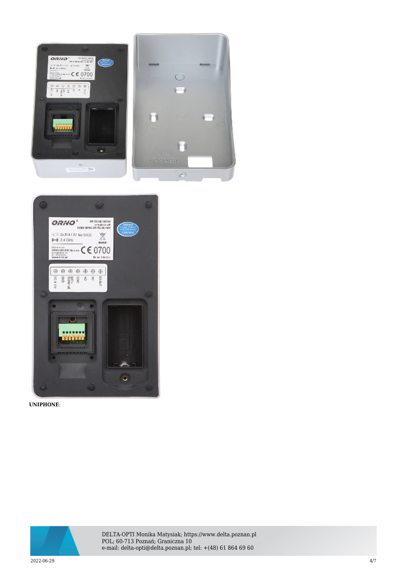



**UNIPHONE**:



DELTA-OPTI Monika Matysiak; https://www.delta.poznan.pl POL; 60-713 Poznań; Graniczna 10 e-mail: delta-opti@delta.poznan.pl; tel: +(48) 61 864 69 60

2022-06-29 4/7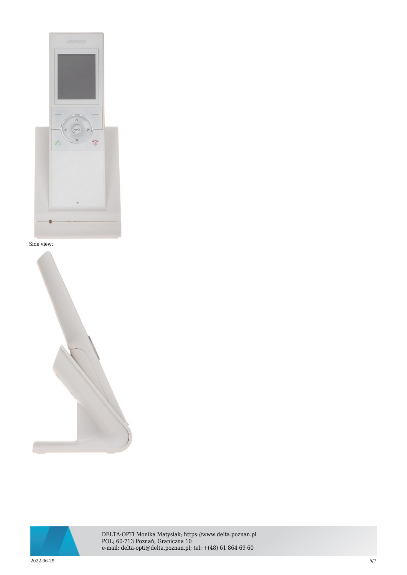







DELTA-OPTI Monika Matysiak; https://www.delta.poznan.pl POL; 60-713 Poznań; Graniczna 10 e-mail: delta-opti@delta.poznan.pl; tel: +(48) 61 864 69 60

2022-06-29 5/7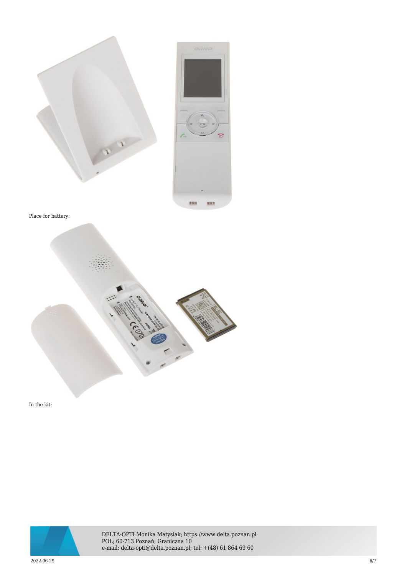

Place for battery:



In the kit:



DELTA-OPTI Monika Matysiak; https://www.delta.poznan.pl POL; 60-713 Poznań; Graniczna 10 e-mail: delta-opti@delta.poznan.pl; tel: +(48) 61 864 69 60

2022-06-29 6/7